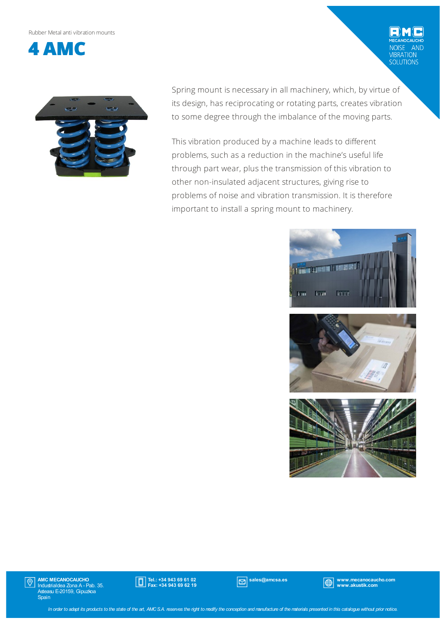#### Rubber Metalanti vibrationmounts



Spring mount is necessary in all machinery, which, by virtue of its design, has reciprocating or rotating parts, creates vibration to some degree through the imbalance of the moving parts.

This vibration produced by a machine leads to different problems, such as a reduction in the machine's useful life through part wear, plus the transmission of this vibration to other non-insulated adjacent structures, giving rise to problems of noise and vibration transmission. It is therefore important to install a spring mount to machinery.



AND

VIBRATION<br>SOLUTIONS





AMC MECANOCAUCHO Industrialdea Zona A - Pab. 35. Asteasu E-20159, Gipuzkoa Spain  $|\mathbb{O}|$ 



sales@amcsa.es www.mecanocaucho.com www.akustik.com

In order to adapt its products to the state of the art, AMCS.A. reserves the right to modify the conception and manufacture of the materials presented in this catalogue without prior notice.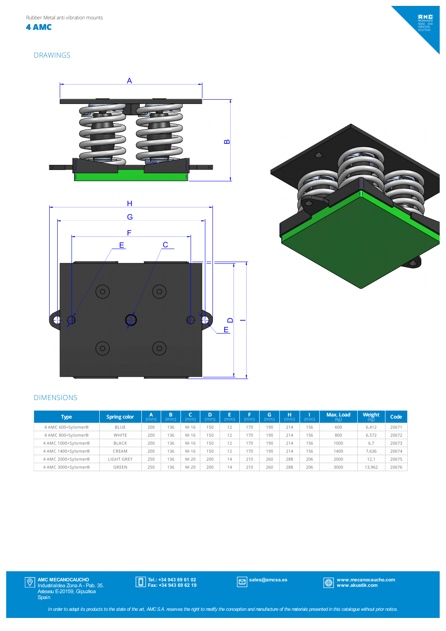Rubber Metal anti vibration mounts

**4 AMC**

### DRAWINGS







### DIMENSIONS

| <b>Type</b>         | <b>Spring color</b> | Α<br>(mm) | B<br>(mm) | (mm)   | D<br>(mm) | E<br>(mm) | (mm) | G<br>(mm) | н<br>(mm) | (mm) | Max. Load<br>(kg) | <b>Weight</b><br>(kg) | Code  |
|---------------------|---------------------|-----------|-----------|--------|-----------|-----------|------|-----------|-----------|------|-------------------|-----------------------|-------|
| 4 AMC 600+Sylomer®  | <b>BLUE</b>         | 200       | 136       | M-16   | 150       | 12        | 170  | 190       | 214       | 156  | 600               | 6.412                 | 20671 |
| 4 AMC 800+Sylomer®  | WHITE               | 200       | 136       | $M-16$ | 150       | 12        | 170  | 190       | 214       | 156  | 800               | 6,572                 | 20672 |
| 4 AMC 1000+Sylomer® | <b>BLACK</b>        | 200       | 136       | M-16   | 150       | 12        | 170  | 190       | 214       | 156  | 1000              | 6,7                   | 20673 |
| 4 AMC 1400+Sylomer® | CREAM               | 200       | 136       | M-16   | 150       | 12        | 170  | 190       | 214       | 156  | 1400              | 7,636                 | 20674 |
| 4 AMC 2000+Sylomer® | LIGHT GREY          | 250       | 136       | $M-20$ | 200       | 14        | 210  | 260       | 288       | 206  | 2000              | 12.1                  | 20675 |
| 4 AMC 3000+Svlomer® | <b>GREEN</b>        | 250       | 136       | $M-20$ | 200       | 14        | 210  | 260       | 288       | 206  | 3000              | 13.962                | 20676 |



Tel.: +34 943 69 61 02 Fax: +34 943 69 62 19

sales@amcsa.es www.mecanocaucho.com www.akustik.com

 $BMC$ JISE AT<br>BRATION<br>ILUTIONS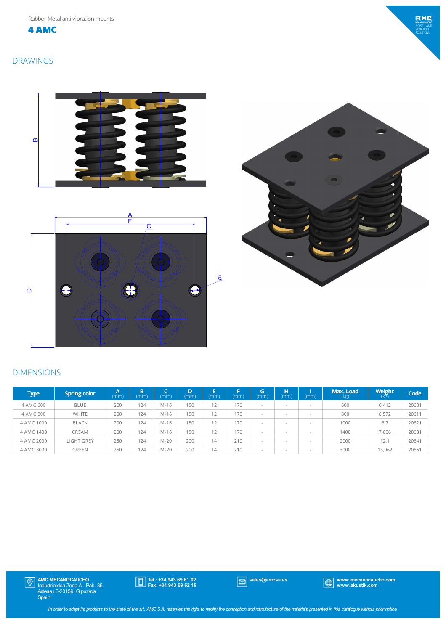**4 AMC**

# $EMC$ DISE AN<br>BRATION<br>DI LITIONS

## DRAWINGS







## DIMENSIONS

| Type       | <b>Spring color</b> | A<br>(mm) | B<br>(mm) | (mm)   | D<br>(mm) | E<br>(mm) | (mm) | G<br>(mm) | н<br>(mm)                | (mm)   | Max. Load<br>(kg) | Weight<br>(kg) | Code  |
|------------|---------------------|-----------|-----------|--------|-----------|-----------|------|-----------|--------------------------|--------|-------------------|----------------|-------|
| 4 AMC 600  | <b>BLUE</b>         | 200       | 124       | $M-16$ | 150       | 12        | 170  |           | $\sim$                   | $\sim$ | 600               | 6,412          | 20601 |
| 4 AMC 800  | <b>WHITE</b>        | 200       | 124       | $M-16$ | 150       | 12        | 170  | $\sim$    |                          | $\sim$ | 800               | 6,572          | 20611 |
| 4 AMC 1000 | <b>BLACK</b>        | 200       | 124       | $M-16$ | 150       | 12        | 170  |           |                          | $\sim$ | 1000              | 6.7            | 20621 |
| 4 AMC 1400 | CREAM               | 200       | 124       | $M-16$ | 150       | 12        | 170  |           |                          | $\sim$ | 1400              | 7.636          | 20631 |
| 4 AMC 2000 | LIGHT GREY          | 250       | 124       | $M-20$ | 200       | 14        | 210  | -         | $\overline{\phantom{a}}$ | $\sim$ | 2000              | 12.1           | 20641 |
| 4 AMC 3000 | GREEN               | 250       | 124       | $M-20$ | 200       | 14        | 210  | $\sim$    |                          | $\sim$ | 3000              | 13,962         | 20651 |



Tel.: +34 943 69 61 02 Fax: +34 943 69 62 19

sales@amcsa.es www.mecanocaucho.com www.akustik.com

In order to adapt its products to the state of the art, AMCSA. reserves the right to modify the conception and manufacture of the materials presented in this catalogue without prior notice.